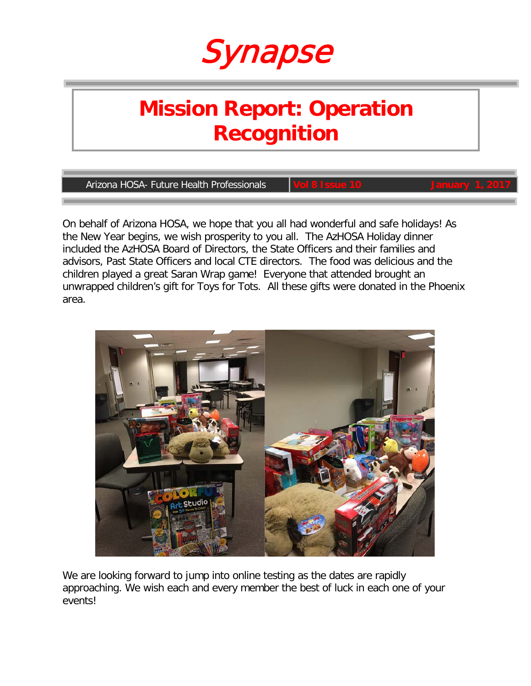

# **Mission Report: Operation Recognition**

**Arizona HOSA- Future Health Professionals** 

On behalf of Arizona HOSA, we hope that you all had wonderful and safe holidays! As the New Year begins, we wish prosperity to you all. The AzHOSA Holiday dinner included the AzHOSA Board of Directors, the State Officers and their families and advisors, Past State Officers and local CTE directors. The food was delicious and the children played a great Saran Wrap game! Everyone that attended brought an unwrapped children's gift for Toys for Tots. All these gifts were donated in the Phoenix area.



We are looking forward to jump into online testing as the dates are rapidly approaching. We wish each and every member the best of luck in each one of your events!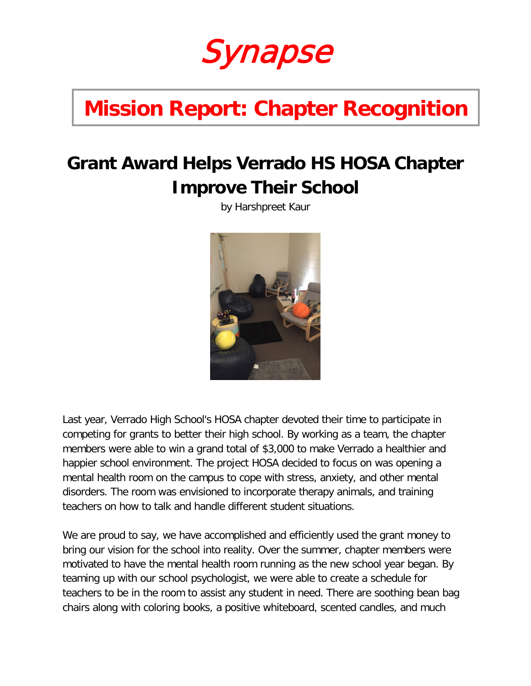Synapse

# **Mission Report: Chapter Recognition**

## **Grant Award Helps Verrado HS HOSA Chapter Improve Their School**

by Harshpreet Kaur



Last year, Verrado High School's HOSA chapter devoted their time to participate in competing for grants to better their high school. By working as a team, the chapter members were able to win a grand total of \$3,000 to make Verrado a healthier and happier school environment. The project HOSA decided to focus on was opening a mental health room on the campus to cope with stress, anxiety, and other mental disorders. The room was envisioned to incorporate therapy animals, and training teachers on how to talk and handle different student situations.

We are proud to say, we have accomplished and efficiently used the grant money to bring our vision for the school into reality. Over the summer, chapter members were motivated to have the mental health room running as the new school year began. By teaming up with our school psychologist, we were able to create a schedule for teachers to be in the room to assist any student in need. There are soothing bean bag chairs along with coloring books, a positive whiteboard, scented candles, and much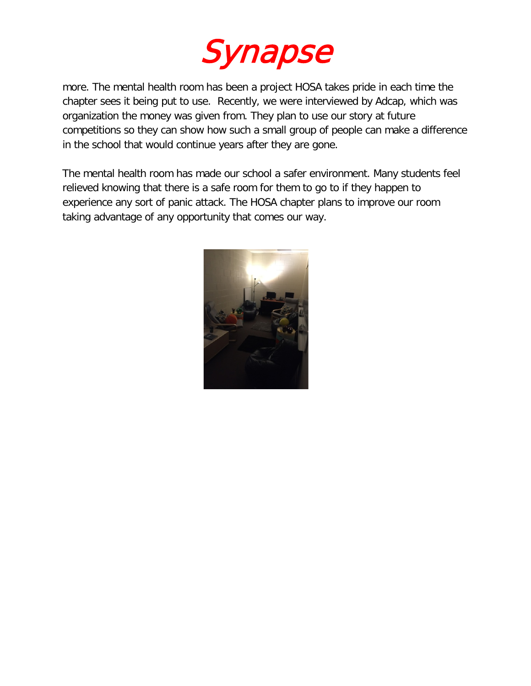

more. The mental health room has been a project HOSA takes pride in each time the chapter sees it being put to use. Recently, we were interviewed by Adcap, which was organization the money was given from. They plan to use our story at future competitions so they can show how such a small group of people can make a difference in the school that would continue years after they are gone.

The mental health room has made our school a safer environment. Many students feel relieved knowing that there is a safe room for them to go to if they happen to experience any sort of panic attack. The HOSA chapter plans to improve our room taking advantage of any opportunity that comes our way.

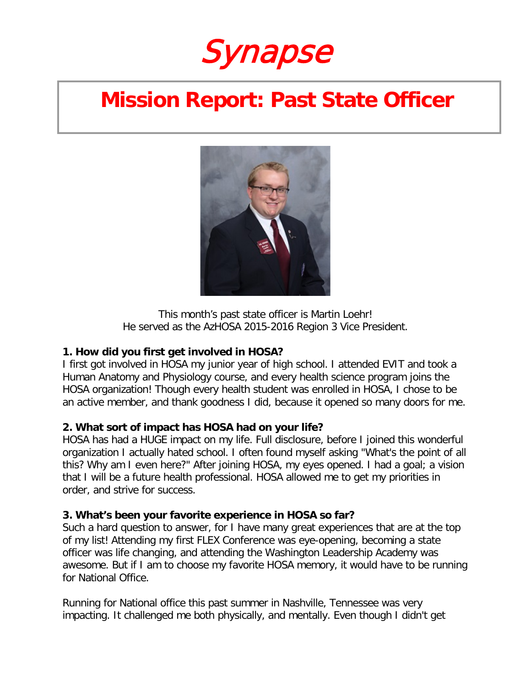Synapse

## **Mission Report: Past State Officer**



This month's past state officer is Martin Loehr! He served as the AzHOSA 2015-2016 Region 3 Vice President.

## **1. How did you first get involved in HOSA?**

I first got involved in HOSA my junior year of high school. I attended EVIT and took a Human Anatomy and Physiology course, and every health science program joins the HOSA organization! Though every health student was enrolled in HOSA, I chose to be an active member, and thank goodness I did, because it opened so many doors for me.

## **2. What sort of impact has HOSA had on your life?**

HOSA has had a HUGE impact on my life. Full disclosure, before I joined this wonderful organization I actually hated school. I often found myself asking "What's the point of all this? Why am I even here?" After joining HOSA, my eyes opened. I had a goal; a vision that I will be a future health professional. HOSA allowed me to get my priorities in order, and strive for success.

### **3. What's been your favorite experience in HOSA so far?**

Such a hard question to answer, for I have many great experiences that are at the top of my list! Attending my first FLEX Conference was eye-opening, becoming a state officer was life changing, and attending the Washington Leadership Academy was awesome. But if I am to choose my favorite HOSA memory, it would have to be running for National Office.

Running for National office this past summer in Nashville, Tennessee was very impacting. It challenged me both physically, and mentally. Even though I didn't get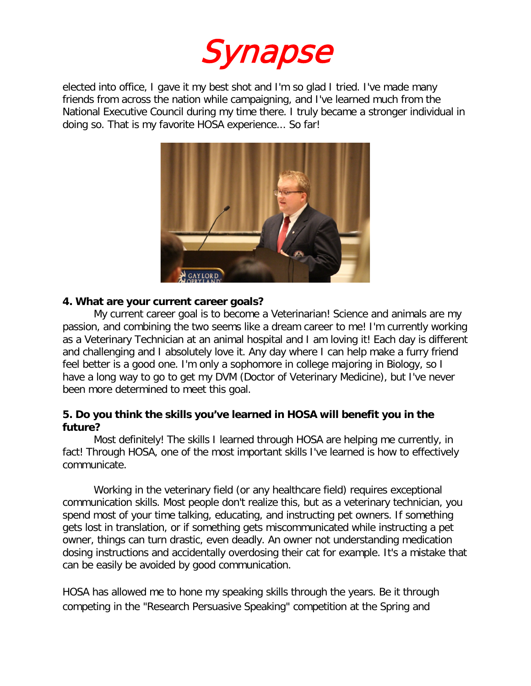

elected into office, I gave it my best shot and I'm so glad I tried. I've made many friends from across the nation while campaigning, and I've learned much from the National Executive Council during my time there. I truly became a stronger individual in doing so. That is my favorite HOSA experience... So far!



#### **4. What are your current career goals?**

My current career goal is to become a Veterinarian! Science and animals are my passion, and combining the two seems like a dream career to me! I'm currently working as a Veterinary Technician at an animal hospital and I am loving it! Each day is different and challenging and I absolutely love it. Any day where I can help make a furry friend feel better is a good one. I'm only a sophomore in college majoring in Biology, so I have a long way to go to get my DVM (Doctor of Veterinary Medicine), but I've never been more determined to meet this goal.

### **5. Do you think the skills you've learned in HOSA will benefit you in the future?**

Most definitely! The skills I learned through HOSA are helping me currently, in fact! Through HOSA, one of the most important skills I've learned is how to effectively communicate.

Working in the veterinary field (or any healthcare field) requires exceptional communication skills. Most people don't realize this, but as a veterinary technician, you spend most of your time talking, educating, and instructing pet owners. If something gets lost in translation, or if something gets miscommunicated while instructing a pet owner, things can turn drastic, even deadly. An owner not understanding medication dosing instructions and accidentally overdosing their cat for example. It's a mistake that can be easily be avoided by good communication.

HOSA has allowed me to hone my speaking skills through the years. Be it through competing in the "Research Persuasive Speaking" competition at the Spring and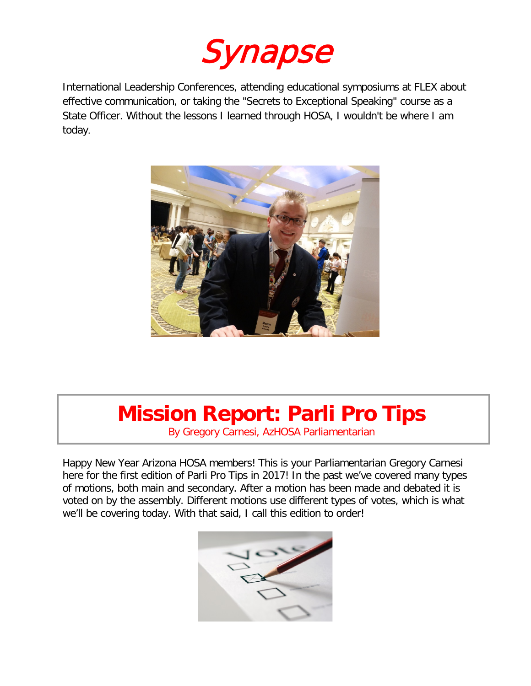

International Leadership Conferences, attending educational symposiums at FLEX about effective communication, or taking the "Secrets to Exceptional Speaking" course as a State Officer. Without the lessons I learned through HOSA, I wouldn't be where I am today.



# **Mission Report: Parli Pro Tips**

By Gregory Carnesi, AzHOSA Parliamentarian

Happy New Year Arizona HOSA members! This is your Parliamentarian Gregory Carnesi here for the first edition of Parli Pro Tips in 2017! In the past we've covered many types of motions, both main and secondary. After a motion has been made and debated it is voted on by the assembly. Different motions use different types of votes, which is what we'll be covering today. With that said, I call this edition to order!